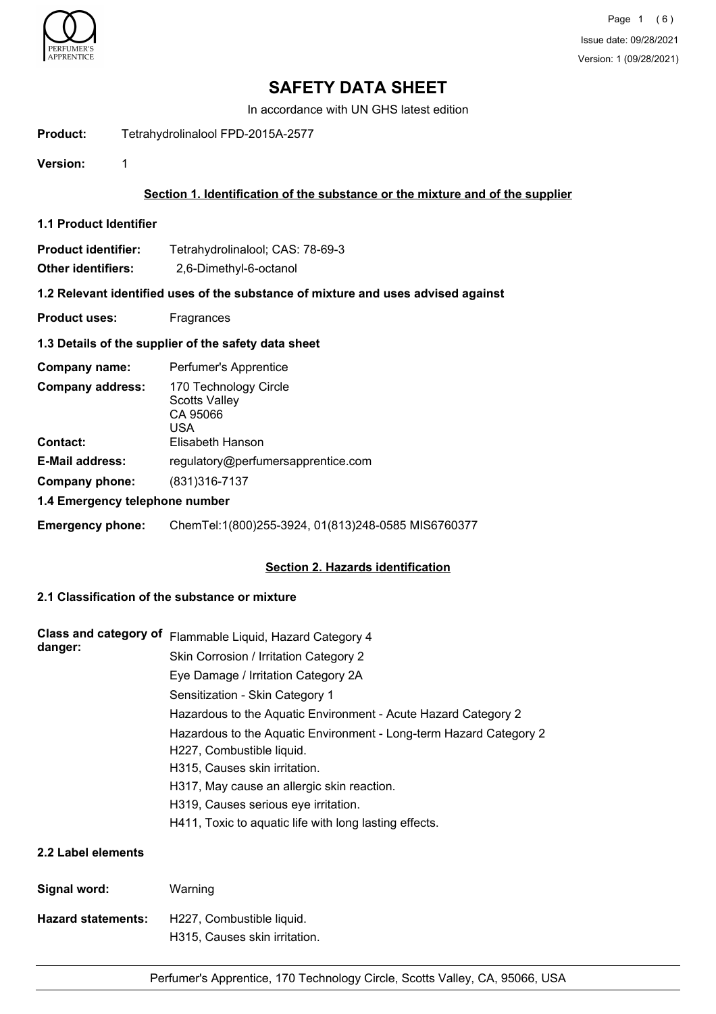

# **SAFETY DATA SHEET**

In accordance with UN GHS latest edition

**Product:** Tetrahydrolinalool FPD-2015A-2577

**Version:** 1

# **Section 1. Identification of the substance or the mixture and of the supplier**

**1.1 Product Identifier**

| Product identifier: | Tetrahydrolinalool; CAS: 78-69-3 |  |  |
|---------------------|----------------------------------|--|--|
|                     |                                  |  |  |

**Other identifiers:** 2,6-Dimethyl-6-octanol

### **1.2 Relevant identified uses of the substance of mixture and uses advised against**

**Product uses:** Fragrances

## **1.3 Details of the supplier of the safety data sheet**

| Company name:                  | Perfumer's Apprentice                                                                |  |
|--------------------------------|--------------------------------------------------------------------------------------|--|
| <b>Company address:</b>        | 170 Technology Circle<br><b>Scotts Valley</b><br>CA 95066<br>USA<br>Elisabeth Hanson |  |
| <b>Contact:</b>                |                                                                                      |  |
| <b>E-Mail address:</b>         | regulatory@perfumersapprentice.com                                                   |  |
| Company phone:                 | (831) 316-7137                                                                       |  |
| 1.4 Emergency telephone number |                                                                                      |  |

**Emergency phone:** ChemTel:1(800)255-3924, 01(813)248-0585 MIS6760377

## **Section 2. Hazards identification**

## **2.1 Classification of the substance or mixture**

| Class and category of     | Flammable Liquid, Hazard Category 4                                                             |  |
|---------------------------|-------------------------------------------------------------------------------------------------|--|
| danger:                   | Skin Corrosion / Irritation Category 2                                                          |  |
|                           | Eye Damage / Irritation Category 2A                                                             |  |
|                           | Sensitization - Skin Category 1                                                                 |  |
|                           | Hazardous to the Aquatic Environment - Acute Hazard Category 2                                  |  |
|                           | Hazardous to the Aquatic Environment - Long-term Hazard Category 2<br>H227, Combustible liquid. |  |
|                           | H315, Causes skin irritation.                                                                   |  |
|                           | H317, May cause an allergic skin reaction.                                                      |  |
|                           | H319, Causes serious eye irritation.                                                            |  |
|                           | H411, Toxic to aquatic life with long lasting effects.                                          |  |
| 2.2 Label elements        |                                                                                                 |  |
| Signal word:              | Warning                                                                                         |  |
| <b>Hazard statements:</b> | H227, Combustible liquid.                                                                       |  |

H315, Causes skin irritation.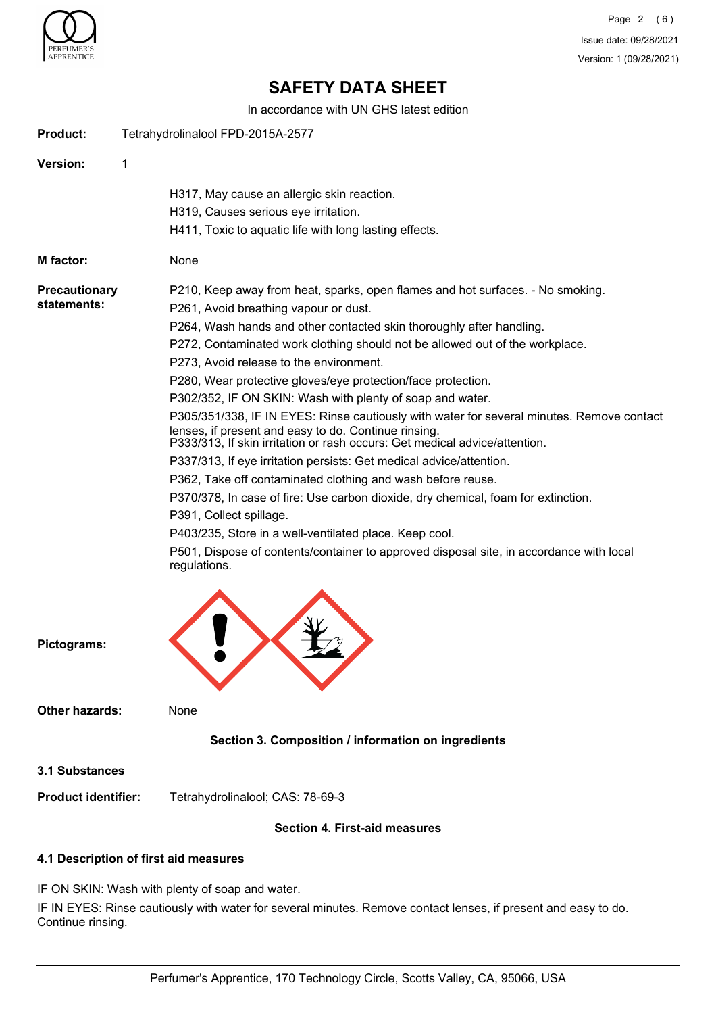

Page 2 (6) Issue date: 09/28/2021 Version: 1 (09/28/2021)

# **SAFETY DATA SHEET**

In accordance with UN GHS latest edition

| <b>Product:</b>                     | Tetrahydrolinalool FPD-2015A-2577                                                                                                                                                                                                                                                                                                                                                                                                                                                                                                                                                                                                                                                                                                                                                                                                                                                                                                                                                                                                                                                                                     |
|-------------------------------------|-----------------------------------------------------------------------------------------------------------------------------------------------------------------------------------------------------------------------------------------------------------------------------------------------------------------------------------------------------------------------------------------------------------------------------------------------------------------------------------------------------------------------------------------------------------------------------------------------------------------------------------------------------------------------------------------------------------------------------------------------------------------------------------------------------------------------------------------------------------------------------------------------------------------------------------------------------------------------------------------------------------------------------------------------------------------------------------------------------------------------|
| Version:                            | 1                                                                                                                                                                                                                                                                                                                                                                                                                                                                                                                                                                                                                                                                                                                                                                                                                                                                                                                                                                                                                                                                                                                     |
|                                     | H317, May cause an allergic skin reaction.<br>H319, Causes serious eye irritation.<br>H411, Toxic to aquatic life with long lasting effects.                                                                                                                                                                                                                                                                                                                                                                                                                                                                                                                                                                                                                                                                                                                                                                                                                                                                                                                                                                          |
| <b>M</b> factor:                    | None                                                                                                                                                                                                                                                                                                                                                                                                                                                                                                                                                                                                                                                                                                                                                                                                                                                                                                                                                                                                                                                                                                                  |
| <b>Precautionary</b><br>statements: | P210, Keep away from heat, sparks, open flames and hot surfaces. - No smoking.<br>P261, Avoid breathing vapour or dust.<br>P264, Wash hands and other contacted skin thoroughly after handling.<br>P272, Contaminated work clothing should not be allowed out of the workplace.<br>P273, Avoid release to the environment.<br>P280, Wear protective gloves/eye protection/face protection.<br>P302/352, IF ON SKIN: Wash with plenty of soap and water.<br>P305/351/338, IF IN EYES: Rinse cautiously with water for several minutes. Remove contact<br>lenses, if present and easy to do. Continue rinsing.<br>P333/313, If skin irritation or rash occurs: Get medical advice/attention.<br>P337/313, If eye irritation persists: Get medical advice/attention.<br>P362, Take off contaminated clothing and wash before reuse.<br>P370/378, In case of fire: Use carbon dioxide, dry chemical, foam for extinction.<br>P391, Collect spillage.<br>P403/235, Store in a well-ventilated place. Keep cool.<br>P501, Dispose of contents/container to approved disposal site, in accordance with local<br>regulations. |
| Pictograms:                         |                                                                                                                                                                                                                                                                                                                                                                                                                                                                                                                                                                                                                                                                                                                                                                                                                                                                                                                                                                                                                                                                                                                       |
| <b>Other hazards:</b>               | None                                                                                                                                                                                                                                                                                                                                                                                                                                                                                                                                                                                                                                                                                                                                                                                                                                                                                                                                                                                                                                                                                                                  |
|                                     | Section 3. Composition / information on ingredients                                                                                                                                                                                                                                                                                                                                                                                                                                                                                                                                                                                                                                                                                                                                                                                                                                                                                                                                                                                                                                                                   |
| <b>3.1 Substances</b>               |                                                                                                                                                                                                                                                                                                                                                                                                                                                                                                                                                                                                                                                                                                                                                                                                                                                                                                                                                                                                                                                                                                                       |
| <b>Product identifier:</b>          | Tetrahydrolinalool; CAS: 78-69-3                                                                                                                                                                                                                                                                                                                                                                                                                                                                                                                                                                                                                                                                                                                                                                                                                                                                                                                                                                                                                                                                                      |
|                                     | <b>Section 4. First-aid measures</b>                                                                                                                                                                                                                                                                                                                                                                                                                                                                                                                                                                                                                                                                                                                                                                                                                                                                                                                                                                                                                                                                                  |
|                                     | 4.1 Description of first aid measures                                                                                                                                                                                                                                                                                                                                                                                                                                                                                                                                                                                                                                                                                                                                                                                                                                                                                                                                                                                                                                                                                 |

IF ON SKIN: Wash with plenty of soap and water.

IF IN EYES: Rinse cautiously with water for several minutes. Remove contact lenses, if present and easy to do. Continue rinsing.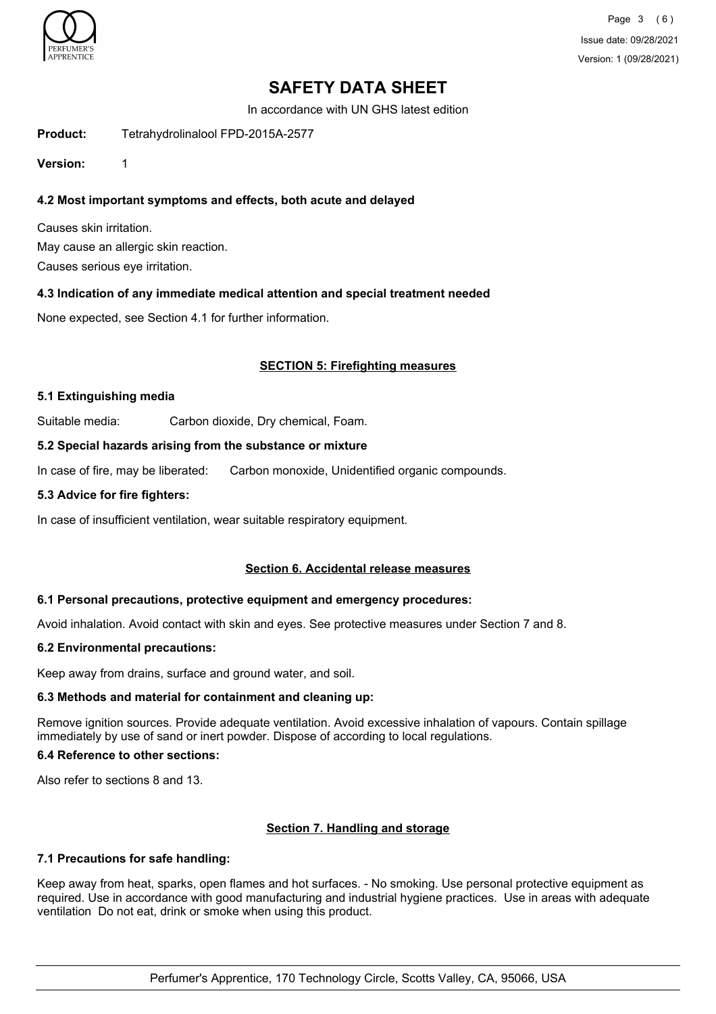

Page 3 (6) Issue date: 09/28/2021 Version: 1 (09/28/2021)

# **SAFETY DATA SHEET**

In accordance with UN GHS latest edition

**Product:** Tetrahydrolinalool FPD-2015A-2577

**Version:** 1

# **4.2 Most important symptoms and effects, both acute and delayed**

Causes skin irritation. May cause an allergic skin reaction. Causes serious eye irritation.

## **4.3 Indication of any immediate medical attention and special treatment needed**

None expected, see Section 4.1 for further information.

## **SECTION 5: Firefighting measures**

#### **5.1 Extinguishing media**

Suitable media: Carbon dioxide, Dry chemical, Foam.

### **5.2 Special hazards arising from the substance or mixture**

In case of fire, may be liberated: Carbon monoxide, Unidentified organic compounds.

### **5.3 Advice for fire fighters:**

In case of insufficient ventilation, wear suitable respiratory equipment.

## **Section 6. Accidental release measures**

#### **6.1 Personal precautions, protective equipment and emergency procedures:**

Avoid inhalation. Avoid contact with skin and eyes. See protective measures under Section 7 and 8.

## **6.2 Environmental precautions:**

Keep away from drains, surface and ground water, and soil.

## **6.3 Methods and material for containment and cleaning up:**

Remove ignition sources. Provide adequate ventilation. Avoid excessive inhalation of vapours. Contain spillage immediately by use of sand or inert powder. Dispose of according to local regulations.

#### **6.4 Reference to other sections:**

Also refer to sections 8 and 13.

## **Section 7. Handling and storage**

## **7.1 Precautions for safe handling:**

Keep away from heat, sparks, open flames and hot surfaces. - No smoking. Use personal protective equipment as required. Use in accordance with good manufacturing and industrial hygiene practices. Use in areas with adequate ventilation Do not eat, drink or smoke when using this product.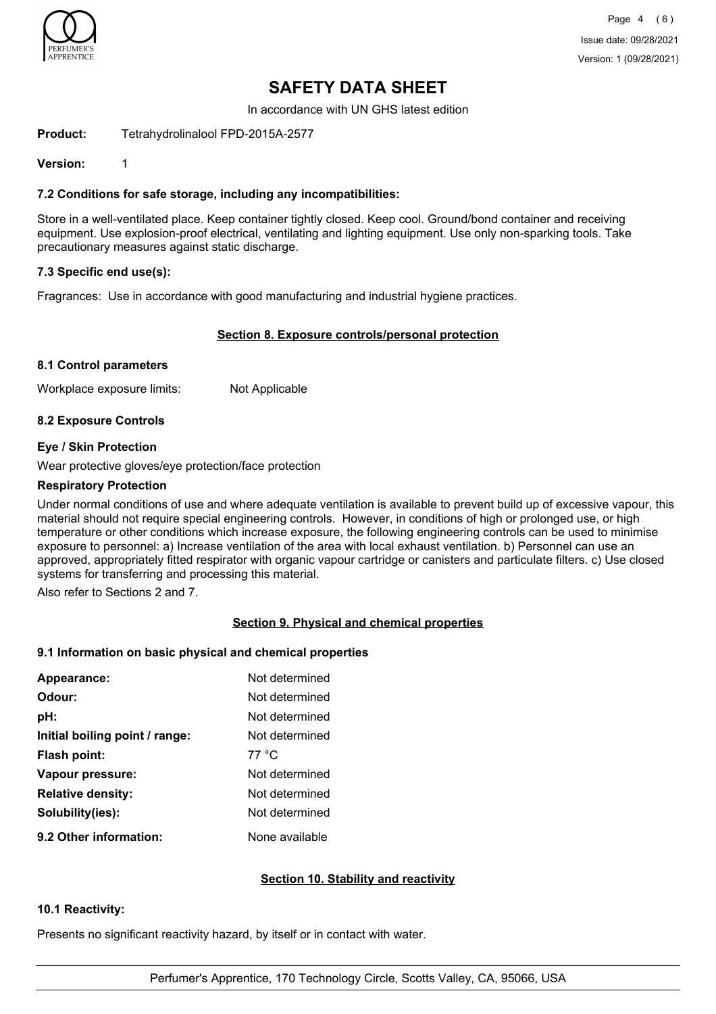

# **SAFETY DATA SHEET**

In accordance with UN GHS latest edition

**Product:** Tetrahydrolinalool FPD-2015A-2577

**Version:** 1

# **7.2 Conditions for safe storage, including any incompatibilities:**

Store in a well-ventilated place. Keep container tightly closed. Keep cool. Ground/bond container and receiving equipment. Use explosion-proof electrical, ventilating and lighting equipment. Use only non-sparking tools. Take precautionary measures against static discharge.

## **7.3 Specific end use(s):**

Fragrances: Use in accordance with good manufacturing and industrial hygiene practices.

## **Section 8. Exposure controls/personal protection**

## **8.1 Control parameters**

Workplace exposure limits: Not Applicable

# **8.2 Exposure Controls**

## **Eye / Skin Protection**

Wear protective gloves/eye protection/face protection

## **Respiratory Protection**

Under normal conditions of use and where adequate ventilation is available to prevent build up of excessive vapour, this material should not require special engineering controls. However, in conditions of high or prolonged use, or high temperature or other conditions which increase exposure, the following engineering controls can be used to minimise exposure to personnel: a) Increase ventilation of the area with local exhaust ventilation. b) Personnel can use an approved, appropriately fitted respirator with organic vapour cartridge or canisters and particulate filters. c) Use closed systems for transferring and processing this material.

Also refer to Sections 2 and 7.

# **Section 9. Physical and chemical properties**

## **9.1 Information on basic physical and chemical properties**

| Appearance:                    | Not determined |
|--------------------------------|----------------|
| Odour:                         | Not determined |
| pH:                            | Not determined |
| Initial boiling point / range: | Not determined |
| <b>Flash point:</b>            | 77 °C          |
| Vapour pressure:               | Not determined |
| <b>Relative density:</b>       | Not determined |
| Solubility(ies):               | Not determined |
| 9.2 Other information:         | None available |

## **Section 10. Stability and reactivity**

## **10.1 Reactivity:**

Presents no significant reactivity hazard, by itself or in contact with water.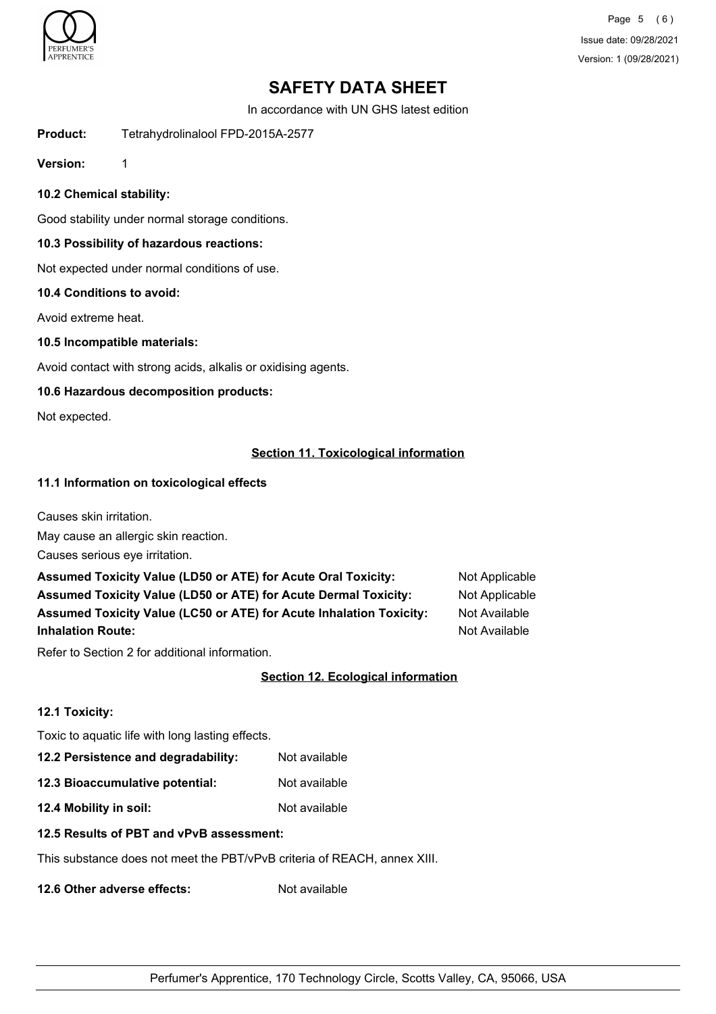

Page 5 (6) Issue date: 09/28/2021 Version: 1 (09/28/2021)

# **SAFETY DATA SHEET**

In accordance with UN GHS latest edition

**Product:** Tetrahydrolinalool FPD-2015A-2577

**Version:** 1

## **10.2 Chemical stability:**

Good stability under normal storage conditions.

## **10.3 Possibility of hazardous reactions:**

Not expected under normal conditions of use.

## **10.4 Conditions to avoid:**

Avoid extreme heat.

### **10.5 Incompatible materials:**

Avoid contact with strong acids, alkalis or oxidising agents.

## **10.6 Hazardous decomposition products:**

Not expected.

## **Section 11. Toxicological information**

## **11.1 Information on toxicological effects**

Causes skin irritation.

May cause an allergic skin reaction.

Causes serious eye irritation.

| <b>Assumed Toxicity Value (LD50 or ATE) for Acute Oral Toxicity:</b>       | Not Applicabl        |
|----------------------------------------------------------------------------|----------------------|
| <b>Assumed Toxicity Value (LD50 or ATE) for Acute Dermal Toxicity:</b>     | Not Applicabl        |
| <b>Assumed Toxicity Value (LC50 or ATE) for Acute Inhalation Toxicity:</b> | <b>Not Available</b> |
| <b>Inhalation Route:</b>                                                   | Not Available        |

t Applicable t Applicable

Refer to Section 2 for additional information.

## **Section 12. Ecological information**

## **12.1 Toxicity:**

Toxic to aquatic life with long lasting effects.

**12.2 Persistence and degradability:** Not available

**12.3 Bioaccumulative potential:** Not available

**12.4 Mobility in soil:** Not available

## **12.5 Results of PBT and vPvB assessment:**

This substance does not meet the PBT/vPvB criteria of REACH, annex XIII.

**12.6 Other adverse effects:** Not available